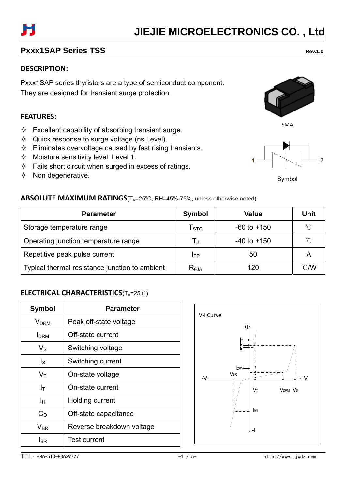### **Pxxx1SAP Series TSS** Rev.1.0

### **DESCRIPTION:**

Pxxx1SAP series thyristors are a type of semiconduct component. They are designed for transient surge protection.

#### **FEATURES:**

- $\Diamond$  Excellent capability of absorbing transient surge.
- $\Diamond$  Quick response to surge voltage (ns Level).
- $\Diamond$  Eliminates overvoltage caused by fast rising transients.
- $\Diamond$  Moisture sensitivity level: Level 1.
- $\Diamond$  Fails short circuit when surged in excess of ratings.
- $\Diamond$  Non degenerative.

## **ABSOLUTE MAXIMUM RATINGS**(T<sub>A</sub>=25°C, RH=45%-75%, unless otherwise noted)

| <b>Parameter</b>                               | Symbol                    | <b>Value</b>    | Unit |
|------------------------------------------------|---------------------------|-----------------|------|
| Storage temperature range                      | $\mathsf{T}_{\text{STG}}$ | $-60$ to $+150$ | °∩   |
| Operating junction temperature range           |                           | $-40$ to $+150$ | °∩   |
| Repetitive peak pulse current                  | <b>IPP</b>                | 50              | A    |
| Typical thermal resistance junction to ambient | $R_{\theta$ JA            | 120             | ℃/W  |

#### **ELECTRICAL CHARACTERISTICS**(TA=25℃)

| <b>Symbol</b>              | Parameter                 |  |  |  |
|----------------------------|---------------------------|--|--|--|
| <b>V</b> <sub>DRM</sub>    | Peak off-state voltage    |  |  |  |
| <b>I</b> DRM               | Off-state current         |  |  |  |
| $\mathsf{V}_\mathsf{S}$    | Switching voltage         |  |  |  |
| $\mathsf{I}_\mathsf{S}$    | Switching current         |  |  |  |
| $\mathsf{V}_\mathsf{T}$    | On-state voltage          |  |  |  |
| $I_T$                      | On-state current          |  |  |  |
| Iн                         | Holding current           |  |  |  |
| $C_{\Omega}$               | Off-state capacitance     |  |  |  |
| $\mathsf{V}_{\mathsf{BR}}$ | Reverse breakdown voltage |  |  |  |
| I <sub>BR</sub>            | <b>Test current</b>       |  |  |  |







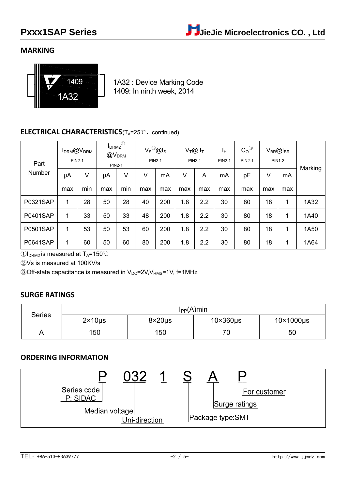#### **MARKING**



1A32 : Device Marking Code 1409: In ninth week, 2014

#### **ELECTRICAL CHARACTERISTICS**(T<sub>A</sub>=25℃, continued)

| Part            | I <sub>DRM2</sub><br><b>I</b> <sub>DRM</sub> @V <sub>DRM</sub><br>@V <sub>DRM</sub><br><b>PIN2-1</b><br><b>PIN2-1</b> |     | $\circled{1}$ | $V_S^{\textcircled{\tiny 2}}$ @ls<br><b>PIN2-1</b> |     | $V_T@I_T$<br><b>PIN2-1</b> |     | Iн<br><b>PIN2-1</b> | $C_0$ <sup>3</sup><br><b>PIN2-1</b> |     | $V_{BR}$ @ $I_{BR}$<br><b>PIN1-2</b> | Marking |      |
|-----------------|-----------------------------------------------------------------------------------------------------------------------|-----|---------------|----------------------------------------------------|-----|----------------------------|-----|---------------------|-------------------------------------|-----|--------------------------------------|---------|------|
| Number          | μA                                                                                                                    | V   | μA            | V                                                  | V   | mA                         | V   | A                   | mA                                  | pF  | V                                    | mA      |      |
|                 | max                                                                                                                   | min | max           | min                                                | max | max                        | max | max                 | max                                 | max | max                                  | max     |      |
| P0321SAP        | 1                                                                                                                     | 28  | 50            | 28                                                 | 40  | 200                        | 1.8 | 2.2                 | 30                                  | 80  | 18                                   | 1       | 1A32 |
| <b>P0401SAP</b> | 1                                                                                                                     | 33  | 50            | 33                                                 | 48  | 200                        | 1.8 | 2.2                 | 30                                  | 80  | 18                                   | 1       | 1A40 |
| <b>P0501SAP</b> | 1                                                                                                                     | 53  | 50            | 53                                                 | 60  | 200                        | 1.8 | 2.2                 | 30                                  | 80  | 18                                   | 1       | 1A50 |
| <b>P0641SAP</b> | 1                                                                                                                     | 60  | 50            | 60                                                 | 80  | 200                        | 1.8 | 2.2                 | 30                                  | 80  | 18                                   | 1       | 1A64 |

 $\bigcirc$ I<sub>DRM2</sub> is measured at T<sub>A</sub>=150  $\degree$ C

②Vs is measured at 100KV/s

 $\odot$ Off-state capacitance is measured in V<sub>DC</sub>=2V, V<sub>RMS</sub>=1V, f=1MHz

#### **SURGE RATINGS**

| <b>Series</b> | $I_{PP}(A)$ min  |                  |                  |                       |  |  |  |
|---------------|------------------|------------------|------------------|-----------------------|--|--|--|
|               | $2 \times 10$ us | $8\times20\mu s$ | $10\times360$ µs | $10\times1000\,\mu s$ |  |  |  |
|               | 150              | 150              | 70<br>7 U I      | 50                    |  |  |  |

#### **ORDERING INFORMATION**

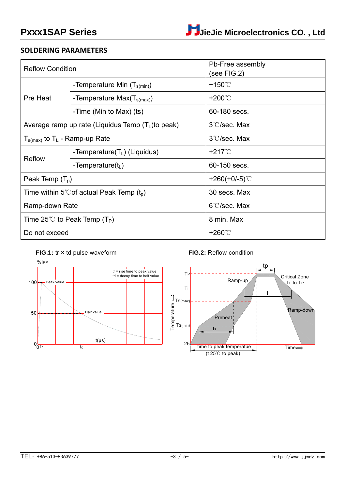#### **SOLDERING PARAMETERS**

| <b>Reflow Condition</b>                              |                                                       | Pb-Free assembly<br>(see FIG.2) |  |  |
|------------------------------------------------------|-------------------------------------------------------|---------------------------------|--|--|
|                                                      | -Temperature Min $(T_{s(min)})$                       | $+150^{\circ}$                  |  |  |
| Pre Heat                                             | -Temperature Max $(T_{s(max)})$                       | $+200^\circ\text{C}$            |  |  |
|                                                      | -Time (Min to Max) (ts)                               | 60-180 secs.                    |  |  |
|                                                      | Average ramp up rate (Liquidus Temp $(T_L)$ to peak)  | 3°C/sec. Max                    |  |  |
| $T_{\text{s(max)}}$ to T <sub>L</sub> - Ramp-up Rate |                                                       | 3°C/sec. Max                    |  |  |
| <b>Reflow</b>                                        | -Temperature $(T_L)$ (Liquidus)                       | $+217^{\circ}$                  |  |  |
|                                                      | -Temperature( $t_L$ )                                 | 60-150 secs.                    |  |  |
| Peak Temp $(T_p)$                                    |                                                       | +260(+0/-5) $°C$                |  |  |
| Time within 5°C of actual Peak Temp $(t_p)$          |                                                       | 30 secs. Max                    |  |  |
| Ramp-down Rate                                       |                                                       | $6^{\circ}$ C/sec. Max          |  |  |
|                                                      | Time 25 <sup>°</sup> C to Peak Temp (T <sub>P</sub> ) | 8 min. Max                      |  |  |
| Do not exceed                                        |                                                       | +260℃                           |  |  |







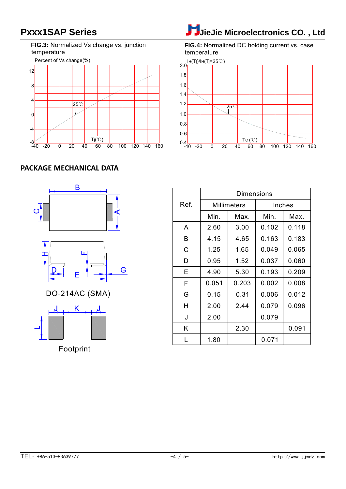**FIG.3:** Normalized Vs change vs. junction temperature



# Pxxx1SAP Series **Journalist Co.** , Ltd

**FIG.4:** Normalized DC holding current vs. case temperature



#### **PACKAGE MECHANICAL DATA**



Footprint

Dimensions Ref. | Millimeters | Inches Min. A B C D E F G 2.60 4.15 1.25 0.95 4.90 0.15 0.051 H 2.00 Max. 3.00 4.65 1.65 1.52 5.30 0.203 0.31 2.44 Min. 0.102 0.163 0.049 0.037 0.193 0.002 0.006 0.079 Max. 0.118 0.183 0.065 0.060 0.209 0.008 0.012 J K J GOSO H 2.00 2.44 0.079 0.096 J K 2.00  $L$  1.80 2.30 0.079 0.071 0.091